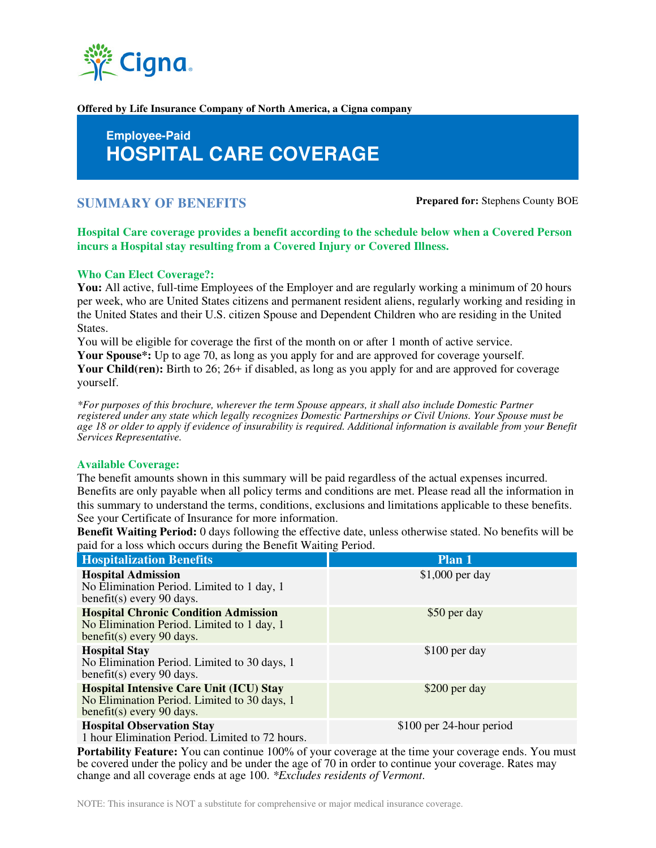

**Offered by Life Insurance Company of North America, a Cigna company** 

# **Employee-Paid HOSPITAL CARE COVERAGE**

## **SUMMARY OF BENEFITS Prepared for:** Stephens County BOE

**Hospital Care coverage provides a benefit according to the schedule below when a Covered Person incurs a Hospital stay resulting from a Covered Injury or Covered Illness.** 

#### **Who Can Elect Coverage?:**

**You:** All active, full-time Employees of the Employer and are regularly working a minimum of 20 hours per week, who are United States citizens and permanent resident aliens, regularly working and residing in the United States and their U.S. citizen Spouse and Dependent Children who are residing in the United States.

You will be eligible for coverage the first of the month on or after 1 month of active service.

Your Spouse<sup>\*</sup>: Up to age 70, as long as you apply for and are approved for coverage yourself. **Your Child(ren):** Birth to 26; 26+ if disabled, as long as you apply for and are approved for coverage yourself.

*\*For purposes of this brochure, wherever the term Spouse appears, it shall also include Domestic Partner registered under any state which legally recognizes Domestic Partnerships or Civil Unions. Your Spouse must be age 18 or older to apply if evidence of insurability is required. Additional information is available from your Benefit Services Representative.*

#### **Available Coverage:**

The benefit amounts shown in this summary will be paid regardless of the actual expenses incurred. Benefits are only payable when all policy terms and conditions are met. Please read all the information in this summary to understand the terms, conditions, exclusions and limitations applicable to these benefits. See your Certificate of Insurance for more information.

**Benefit Waiting Period:** 0 days following the effective date, unless otherwise stated. No benefits will be paid for a loss which occurs during the Benefit Waiting Period.

| <b>Hospitalization Benefits</b>                                                                                             | Plan 1                   |
|-----------------------------------------------------------------------------------------------------------------------------|--------------------------|
| <b>Hospital Admission</b><br>No Elimination Period. Limited to 1 day, 1<br>benefit(s) every 90 days.                        | $$1,000$ per day         |
| <b>Hospital Chronic Condition Admission</b><br>No Elimination Period. Limited to 1 day, 1<br>benefit(s) every 90 days.      | \$50 per day             |
| <b>Hospital Stay</b><br>No Elimination Period. Limited to 30 days, 1<br>benefit(s) every 90 days.                           | \$100 per day            |
| <b>Hospital Intensive Care Unit (ICU) Stay</b><br>No Elimination Period. Limited to 30 days, 1<br>benefit(s) every 90 days. | \$200 per day            |
| <b>Hospital Observation Stay</b><br>1 hour Elimination Doriad I imited to 72 hours                                          | \$100 per 24-hour period |

1 hour Elimination Period. Limited to 72 hours.

**Portability Feature:** You can continue 100% of your coverage at the time your coverage ends. You must be covered under the policy and be under the age of 70 in order to continue your coverage. Rates may change and all coverage ends at age 100. *\*Excludes residents of Vermont*.

NOTE: This insurance is NOT a substitute for comprehensive or major medical insurance coverage.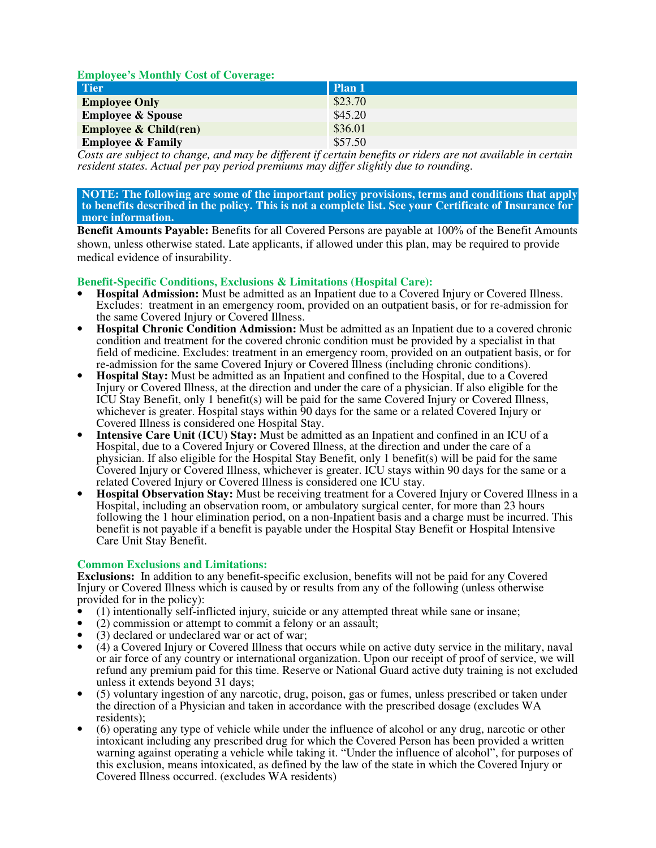| <b>Employee's Monthly Cost of Coverage:</b> |          |
|---------------------------------------------|----------|
| Tier <sup>1</sup>                           | l Plan 1 |
| <b>Employee Only</b>                        | \$23.70  |
| <b>Employee &amp; Spouse</b>                | \$45.20  |
| <b>Employee &amp; Child(ren)</b>            | \$36.01  |
| <b>Employee &amp; Family</b>                | \$57.50  |

*Costs are subject to change, and may be different if certain benefits or riders are not available in certain resident states. Actual per pay period premiums may differ slightly due to rounding.*

#### **NOTE: The following are some of the important policy provisions, terms and conditions that apply to benefits described in the policy. This is not a complete list. See your Certificate of Insurance for more information.**

**Benefit Amounts Payable:** Benefits for all Covered Persons are payable at 100% of the Benefit Amounts shown, unless otherwise stated. Late applicants, if allowed under this plan, may be required to provide medical evidence of insurability.

#### **Benefit-Specific Conditions, Exclusions & Limitations (Hospital Care):**

- **Hospital Admission:** Must be admitted as an Inpatient due to a Covered Injury or Covered Illness. Excludes: treatment in an emergency room, provided on an outpatient basis, or for re-admission for the same Covered Injury or Covered Illness.
- **Hospital Chronic Condition Admission:** Must be admitted as an Inpatient due to a covered chronic condition and treatment for the covered chronic condition must be provided by a specialist in that field of medicine. Excludes: treatment in an emergency room, provided on an outpatient basis, or for re-admission for the same Covered Injury or Covered Illness (including chronic conditions).
- **Hospital Stay:** Must be admitted as an Inpatient and confined to the Hospital, due to a Covered Injury or Covered Illness, at the direction and under the care of a physician. If also eligible for the ICU Stay Benefit, only 1 benefit(s) will be paid for the same Covered Injury or Covered Illness, whichever is greater. Hospital stays within 90 days for the same or a related Covered Injury or Covered Illness is considered one Hospital Stay.
- **Intensive Care Unit (ICU) Stay:** Must be admitted as an Inpatient and confined in an ICU of a Hospital, due to a Covered Injury or Covered Illness, at the direction and under the care of a physician. If also eligible for the Hospital Stay Benefit, only 1 benefit(s) will be paid for the same Covered Injury or Covered Illness, whichever is greater. ICU stays within 90 days for the same or a related Covered Injury or Covered Illness is considered one ICU stay.
- **Hospital Observation Stay:** Must be receiving treatment for a Covered Injury or Covered Illness in a Hospital, including an observation room, or ambulatory surgical center, for more than 23 hours following the 1 hour elimination period, on a non-Inpatient basis and a charge must be incurred. This benefit is not payable if a benefit is payable under the Hospital Stay Benefit or Hospital Intensive Care Unit Stay Benefit.

### **Common Exclusions and Limitations:**

**Exclusions:** In addition to any benefit-specific exclusion, benefits will not be paid for any Covered Injury or Covered Illness which is caused by or results from any of the following (unless otherwise provided for in the policy):

- (1) intentionally self-inflicted injury, suicide or any attempted threat while sane or insane;
- (2) commission or attempt to commit a felony or an assault;
- (3) declared or undeclared war or act of war;
- (4) a Covered Injury or Covered Illness that occurs while on active duty service in the military, naval or air force of any country or international organization. Upon our receipt of proof of service, we will refund any premium paid for this time. Reserve or National Guard active duty training is not excluded unless it extends beyond 31 days;
- (5) voluntary ingestion of any narcotic, drug, poison, gas or fumes, unless prescribed or taken under the direction of a Physician and taken in accordance with the prescribed dosage (excludes WA residents);
- (6) operating any type of vehicle while under the influence of alcohol or any drug, narcotic or other intoxicant including any prescribed drug for which the Covered Person has been provided a written warning against operating a vehicle while taking it. "Under the influence of alcohol", for purposes of this exclusion, means intoxicated, as defined by the law of the state in which the Covered Injury or Covered Illness occurred. (excludes WA residents)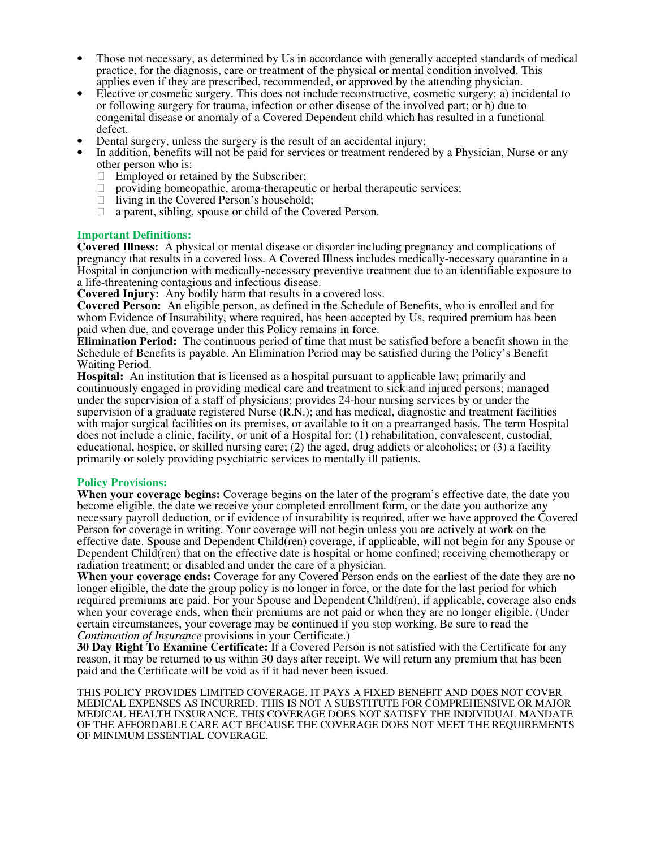- Those not necessary, as determined by Us in accordance with generally accepted standards of medical practice, for the diagnosis, care or treatment of the physical or mental condition involved. This applies even if they are prescribed, recommended, or approved by the attending physician.
- Elective or cosmetic surgery. This does not include reconstructive, cosmetic surgery: a) incidental to or following surgery for trauma, infection or other disease of the involved part; or b) due to congenital disease or anomaly of a Covered Dependent child which has resulted in a functional defect.
- Dental surgery, unless the surgery is the result of an accidental injury;
- In addition, benefits will not be paid for services or treatment rendered by a Physician, Nurse or any other person who is:
	- Employed or retained by the Subscriber;
	- providing homeopathic, aroma-therapeutic or herbal therapeutic services;
	- living in the Covered Person's household;
	- a parent, sibling, spouse or child of the Covered Person.

#### **Important Definitions:**

**Covered Illness:** A physical or mental disease or disorder including pregnancy and complications of pregnancy that results in a covered loss. A Covered Illness includes medically-necessary quarantine in a Hospital in conjunction with medically-necessary preventive treatment due to an identifiable exposure to a life-threatening contagious and infectious disease.

**Covered Injury:** Any bodily harm that results in a covered loss.

**Covered Person:** An eligible person, as defined in the Schedule of Benefits, who is enrolled and for whom Evidence of Insurability, where required, has been accepted by Us, required premium has been paid when due, and coverage under this Policy remains in force.

**Elimination Period:** The continuous period of time that must be satisfied before a benefit shown in the Schedule of Benefits is payable. An Elimination Period may be satisfied during the Policy's Benefit Waiting Period.

**Hospital:** An institution that is licensed as a hospital pursuant to applicable law; primarily and continuously engaged in providing medical care and treatment to sick and injured persons; managed under the supervision of a staff of physicians; provides 24-hour nursing services by or under the supervision of a graduate registered Nurse (R.N.); and has medical, diagnostic and treatment facilities with major surgical facilities on its premises, or available to it on a prearranged basis. The term Hospital does not include a clinic, facility, or unit of a Hospital for: (1) rehabilitation, convalescent, custodial, educational, hospice, or skilled nursing care; (2) the aged, drug addicts or alcoholics; or (3) a facility primarily or solely providing psychiatric services to mentally ill patients.

#### **Policy Provisions:**

**When your coverage begins:** Coverage begins on the later of the program's effective date, the date you become eligible, the date we receive your completed enrollment form, or the date you authorize any necessary payroll deduction, or if evidence of insurability is required, after we have approved the Covered Person for coverage in writing. Your coverage will not begin unless you are actively at work on the effective date. Spouse and Dependent Child(ren) coverage, if applicable, will not begin for any Spouse or Dependent Child $(ren)$  that on the effective date is hospital or home confined; receiving chemotherapy or radiation treatment; or disabled and under the care of a physician.

**When your coverage ends:** Coverage for any Covered Person ends on the earliest of the date they are no longer eligible, the date the group policy is no longer in force, or the date for the last period for which required premiums are paid. For your Spouse and Dependent Child(ren), if applicable, coverage also ends when your coverage ends, when their premiums are not paid or when they are no longer eligible. (Under certain circumstances, your coverage may be continued if you stop working. Be sure to read the *Continuation of Insurance* provisions in your Certificate.)

**30 Day Right To Examine Certificate:** If a Covered Person is not satisfied with the Certificate for any reason, it may be returned to us within 30 days after receipt. We will return any premium that has been paid and the Certificate will be void as if it had never been issued.

THIS POLICY PROVIDES LIMITED COVERAGE. IT PAYS A FIXED BENEFIT AND DOES NOT COVER MEDICAL EXPENSES AS INCURRED. THIS IS NOT A SUBSTITUTE FOR COMPREHENSIVE OR MAJOR MEDICAL HEALTH INSURANCE. THIS COVERAGE DOES NOT SATISFY THE INDIVIDUAL MANDATE OF THE AFFORDABLE CARE ACT BECAUSE THE COVERAGE DOES NOT MEET THE REQUIREMENTS OF MINIMUM ESSENTIAL COVERAGE.